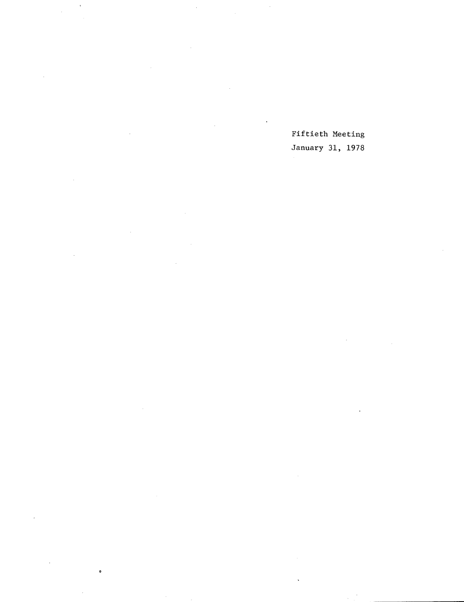Fiftieth Meeting January 31, 1978

 $\bar{z}$ 

 $\lambda$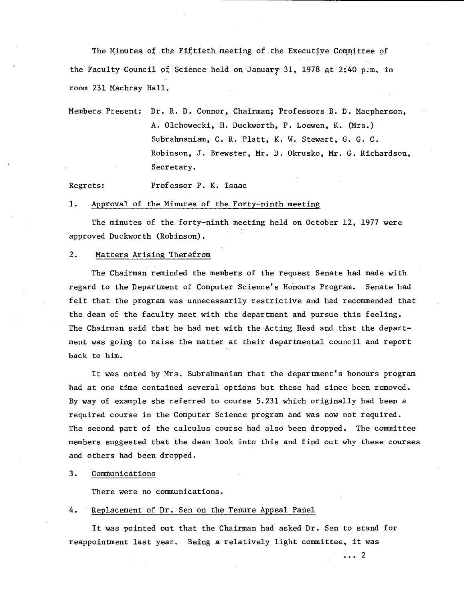The Minutes of the Fiftieth meeting of the Executive Committee of the Faculty Council of Science held on January 31, 1978 at 2:40 p.m. in room 231 Machray Hall,

Members Present: Dr. R. D. Connor, Chairman; Professors B. D. Macpherson, A. Olchowecki, H. Duckworth, P. Loewen, K. (Mrs.) Subrabmaniam, C. R. Platt, K. W. Stewart, G. G. C. Robinson, J. Brewster, Mr. D. Okrusko, Mr. G. Richardson, Secretary.

Regrets: Professor P. K. Isaac

### Approval of the Minutes of the Forty-ninth meeting  $1.$

The minutes of the forty-ninth meeting held on October 12, 1977 were approved Duckworth (Robinson).

### $2.$ Matters Arising Therefrom

The Chairman reminded the members of the request Senate had made with regard to the Department of Computer Science's Honours Program. Senate had felt that the program was unnecessarily restrictive and had recommended that the dean of the faculty meet with the department and pursue this feeling. The Chairman said that he had met with the Acting Head and that the department was going to raise the matter at their departmental council and report back to him.

It was noted by Mrs. Subrahmaniam that the department's honours program had at one time contained several options but these had since been removed. By way of example she referred to course 5.231 which originally had been a required course in the Computer Science program and was now not required. The second part of the calculus course had also been dropped. The committee members suggested that the dean look into this and find out why these courses and others' had been dropped.

### $3.$ CommunicatiOns

There were no communications.

#### $4.$ Replacement of Dr. Sen on the Tenure Appeal Panel

It was pointed out that the Chairman had asked Dr. Sen to stand for reappointment last year. Being a relatively light committee, it was

...2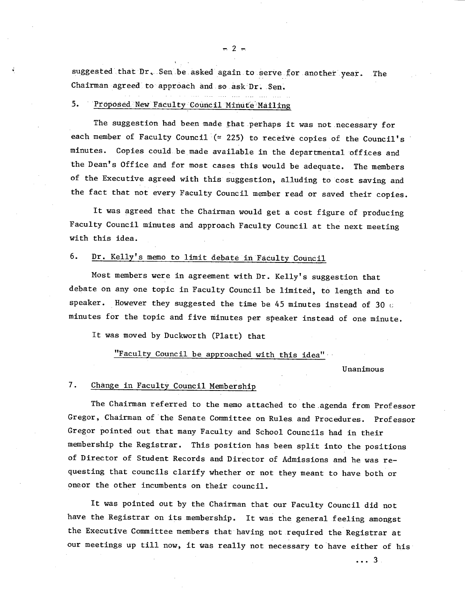suggested that Dr. Sen be asked again to serve for another year. The Chairman agreed to approach and so ask Dr. Sen.

### 5. Proposed New Faculty Council Minute Mailing

The suggestion had been made that perhaps it was not necessary for each member of Faculty Council  $($   $\simeq$  225) to receive copies of the Council's minutes. Copies could be made available in the departmental offices and the Dean's Office and for most cases this would be adequate. The members of the Executive agreed with this suggestion, alluding to cost saving and the fact that not every Faculty Council member read or saved their copies.

It was agreed that the Chairman would get a cost figure of producing Faculty Council minutes and approach Faculty Council at the next meeting with this idea.

### 6. Dr. Kelly's memo to limit debate in Faculty Council

Most members were in agreement with Dr. Kelly's suggestion that debate on any one topic in Faculty Council be limited, to length and to speaker. However they suggested the time be 45 minutes instead of 30  $c$ minutes for the topic and five minutes per speaker instead of one minute.

It was moved by Duckworth (Platt) that

# "Faculty Council be approached with this idea"

Unanimous

### $7.$ Change in Faculty Council Membership

The Chairman referred to the memo attached to the agenda from Professor Gregor, Chairman of the Senate Committee on Rules, and Procedures. Professor Gregor pointed out that many Faculty and School Councils had in their membership the Registrar. This position has been split into the positions of Director of Student Records and Director of Admissions and he was requesting that councils clarify whether or not they meant to have both or oneor the other incumbents on their council.

It was pointed out by the Chairman that our Faculty Council did not have the Registrar on its membership. It was the general feeling amongst the Executive Committee members that having not .required the Registrar at our meetings up till now, it was really not necessary to have either of his'

...3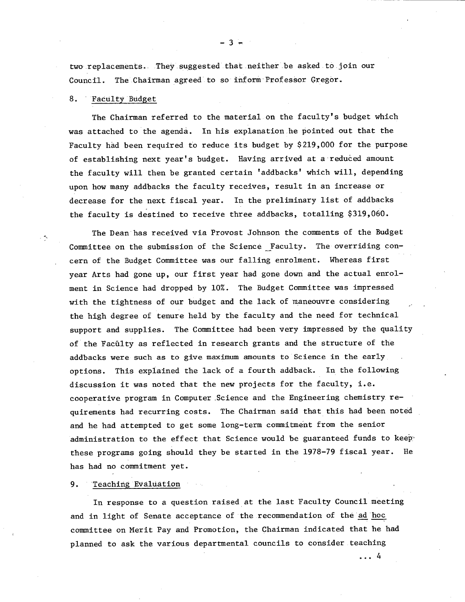two replacements. They suggested that neither be asked to join our Council. The Chairman agreed to so inform Professor Gregor.

### Faculty BUdget 8.

The Chairman referred to the material on the faculty's budget which was attached to the agenda. In his explanation he pointed out that the Faculty had been required to reduce its budget by \$219,000 for the purpose of establishing next year's budget. Having arrived at a reduced amount the faculty will then be granted certain 'addbacks' which will, depending upon how many addbacks the faculty receives, result in an increase or decrease for the next fiscal year. In the preliminary list of addbacks the faculty is destined to receive three addbacks, totalling \$319,060.

The Dean has received via Provost Johnson the comments of the Budget Committee on the submission of the Science Faculty. The overriding concern of the Budget Committee was our falling enrolment. Whereas first year Arts had gone up, our first year had gone down and the actual enrolment in Science had dropped by 10%. The Budget Committee was impressed with the tightness of our budget and the lack of maneouvre considering the high degree of tenure held by the faculty and the need for technical support and supplies. The Committee had been very impressed by the quality of the Faculty as reflected in research grants and the structure of the addbacks were such as to give maximum amounts to Science in the early options. This explained the lack of a fourth addback. In the following discussion it was noted that the new projects for the faculty, i.e. cooperative program in Computer Science and the Engineering chemistry requirements had recurring costs. The Chairman said that this had been noted and he had attempted to get some long-term commitment from the senior administration to the effect that Science would be guaranteed funds to keep these programs going should they be started in the 1978-79 fiscal year. He has had no commitment yet.

### $9.$ Teaching Evaluation

In response to a question raised at the last Faculty Council meeting and in light of Senate acceptance of the recommendation of the ad hoc committee on Merit Pay and Promotion, the Chairman indicated that he had planned to ask the various departmental councils to consider teaching

 $\ldots$  4

 $-3 -$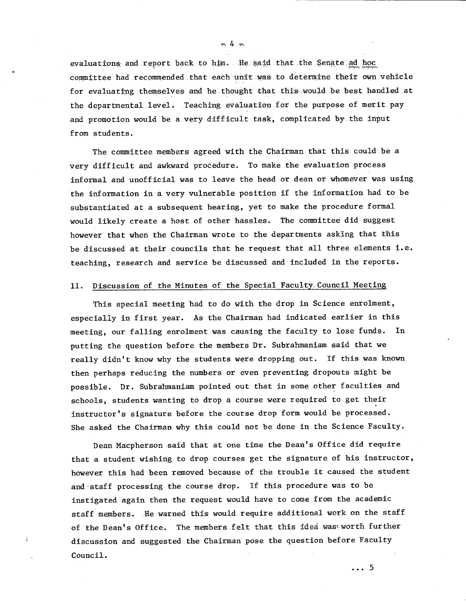evaluations and report back to him. He said that the Senate ad hoc committee had recommended that each unit was to determine their own vehicle for evaluating themselves and he thought that this would be best handled at the departmental level. Teaching evaluation for the purpose of merit pay and promotion would be a very difficult task, complicated bythe input from students.

The committee members agreed with the Chairman that this could be a very difficult and awkward procedure. To make the evaluation process informal and unofficial was to leave the head or dean or whomever was using the information in a very vulnerable position if the information had to be substantiated at a subsequent hearing, yet to make the procedure formal would likely create a host of other hassles. The committee did suggest however that when the Chairman wrote to the departments asking that this be discussed at their councils that he request that all three elements i.e. teaching, research and service be discussed and included in the reports.

# 11. Discussion of the Minutes of the Special Faculty Council Meeting

This special meeting had to do with the drop in Science enrolment, especially in first year. As the Chairman had indicated earlier in this meeting, our falling enrolment was causing the faculty to lose funds. In putting the question before the members Dr. Subrahmaniam said that we really didn't know why the students were dropping out. If this was known then perhaps reducing the numbers or even preventing dropouts might be possible. Dr. Subrahmaniam pointed out that in some other faculties and schools, students wanting to drop a course were required to get their instructor's signature before the course drop form would be processed. She asked the Chairman why this could not be done in the Science Faculty.

Dean Macpherson said that at one time the Dean's Office did require that a student wishing to drop courses get the signature of his instructor, however this had been removed because of the trouble it caused the student and staff processing the course drop. If this procedure was to be instigated again then the request would have to come from the academic staff members. He warned this would require additional work on the staff of the Dean's Office. The members felt that this idea was worth further discussion and suggested the Chairman pose the question before Faculty Council.

...5

ب 4 ب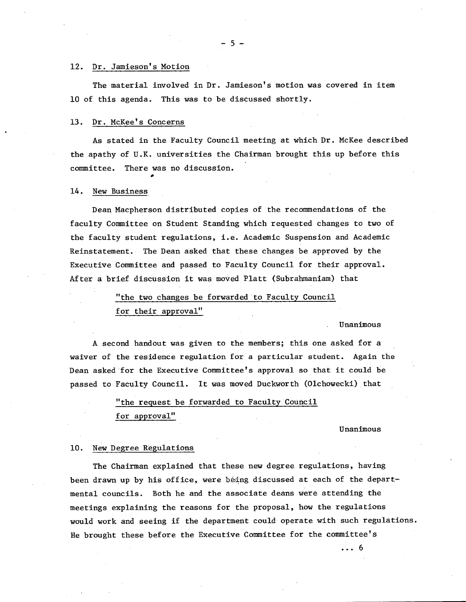### 12. Dr. Jamieson's Motion

The material involved in Dr. Jamieson's motion was covered in item 10 of this agenda. This was to be discussed shortly.

#### $13.$ Dr. McKee's Concerns

As stated in the Faculty Council meeting at which Dr. McKee described the apathy of U.K. universities the Chairman brought this up before this committee. There was no discussion.

#### New Business  $14.$

Dean Macpherson distributed copies of the recommendations of the faculty Committee on Student Standing which requested changes to two of the faculty student regulations, i.e. Academic Suspension and Academic Reinstatement. The Dean asked that these changes be approved by the Executive Committee and passed to Faculty Council for their approval. After a brief discussion it was moved Platt (Subrahmaniam) that

> "the two changes be forwarded to Faculty Council for their approval"

### Unanimous

A second handout was given to the members; this one asked for a waiver of the residence regulation for a particular student. Again the Dean asked for the Executive Committee's approval so that it could be passed to Faculty Council. It was moved Duckworth (Olchowecki) that

> "the request be forwarded to Faculty Council for approval"

### Unanimous

 $\cdots 6$ 

### 10. New Degree Regulations

The Chairman explained that these new degree regulations, having been drawn up by his office, were being discussed at each of the departmental councils. Both he and the associate deans were attending the meetings explaining the reasons for the proposal, how the regulations would work and seeing if the department could operate with such regulations. He brought these before the Executive Committee for the committee's

-5-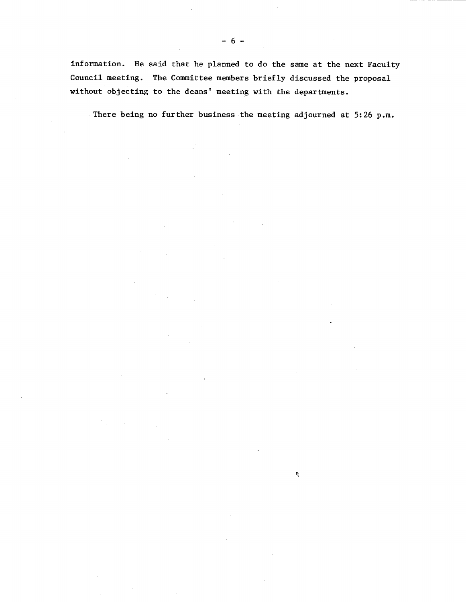information. He said that he planned to do the same at the next Faculty Council meeting. The Committee members briefly discussed the proposal without objecting to the deans' meeting with the departments.

There being no further business the meeting adjourned at 5:26 p.m.

 $\mathbf{Q}$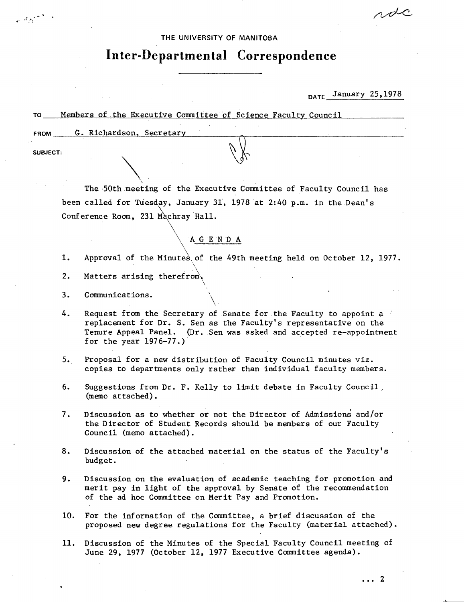## THE UNIVERSITY OF MANITOBA

# **Inter-Departmental Correspondence**

DATE January 25,1978

rdc

# TO Members of .the Executive Committee of.Science Faculty Council

FROM G. Richardson, Secretary

SUBJECT:

The 50th meeting of the Executive Committee of Faculty Council has been called for Tuesday, January 31, 1978 at 2:40 p.m. in the Dean's Conference Room, 231 Machray Hall.

# AG E N D A

 $\mathbf{1}$ . Approval of the Minutes of the 49th meeting held on October 12, 1977.

- $2.$ Matters arising therefrom.
- $3.$ Communications.
- 4. Request from the Secretary of Senate for the Faculty to appoint a replacement for Dr. S. Sen as the Faculty's representative on the Tenure Appeal Panel. (Dr. Sen was asked and accepted re-appointment for the year 1976-77.)
- Proposal for a new distribution of Faculty Council minutes viz.  $5.$ copies to departments only rather than individual faculty members.
- 6. Suggestions from Dr. F. Kelly to limit debate in Faculty Council (memo attached).
- $7.$ Discussion as to whether or not the Director of Admissiori and/or the Director of Student Records should be members of our Faculty Council (memo attached).
- 8. Discussion of the attached material on the status of the Faculty's budget.
- Discussion on the evaluation of academic teaching for promotion and  $9.$ merit pay in light of the approval by Senate of the recommendation of the ad hoc Committee on Merit Pay and Promotion.
- 10. For the information of the Committee, a brief discussion of the proposed new degree regulations for the Faculty (material attached).
- Discussion of the Minutes of the Special Faculty Council meeting of 11. June 29, 1977 (October 12, 1977 Executive Committee agenda).